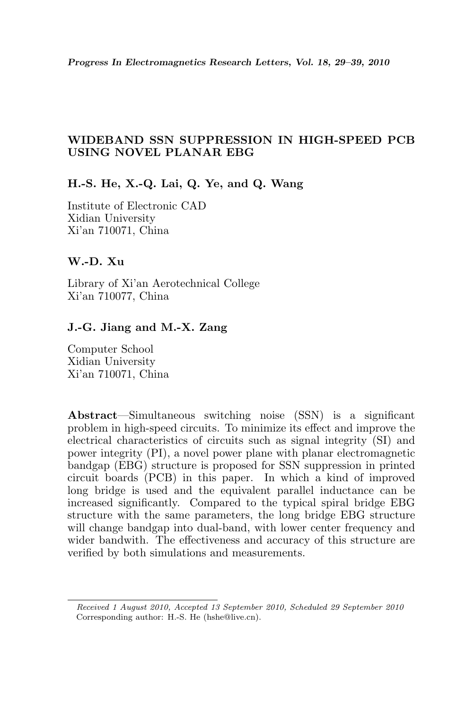# WIDEBAND SSN SUPPRESSION IN HIGH-SPEED PCB USING NOVEL PLANAR EBG

# H.-S. He, X.-Q. Lai, Q. Ye, and Q. Wang

Institute of Electronic CAD Xidian University Xi'an 710071, China

## W.-D. Xu

Library of Xi'an Aerotechnical College Xi'an 710077, China

# J.-G. Jiang and M.-X. Zang

Computer School Xidian University Xi'an 710071, China

Abstract—Simultaneous switching noise (SSN) is a significant problem in high-speed circuits. To minimize its effect and improve the electrical characteristics of circuits such as signal integrity (SI) and power integrity (PI), a novel power plane with planar electromagnetic bandgap (EBG) structure is proposed for SSN suppression in printed circuit boards (PCB) in this paper. In which a kind of improved long bridge is used and the equivalent parallel inductance can be increased significantly. Compared to the typical spiral bridge EBG structure with the same parameters, the long bridge EBG structure will change bandgap into dual-band, with lower center frequency and wider bandwith. The effectiveness and accuracy of this structure are verified by both simulations and measurements.

Received 1 August 2010, Accepted 13 September 2010, Scheduled 29 September 2010 Corresponding author: H.-S. He (hshe@live.cn).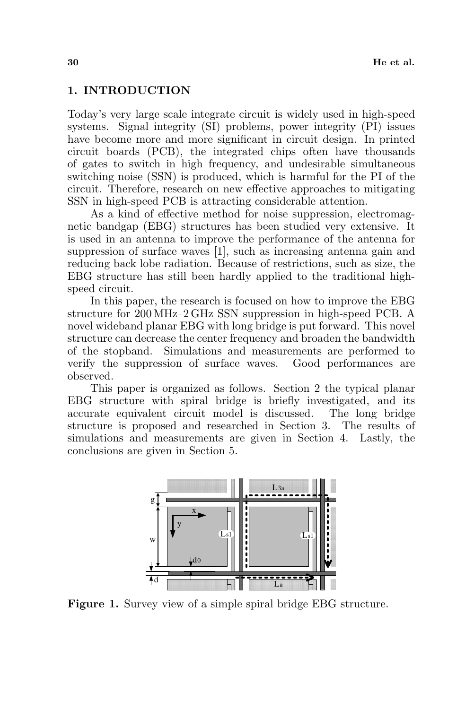#### 1. INTRODUCTION

Today's very large scale integrate circuit is widely used in high-speed systems. Signal integrity (SI) problems, power integrity (PI) issues have become more and more significant in circuit design. In printed circuit boards (PCB), the integrated chips often have thousands of gates to switch in high frequency, and undesirable simultaneous switching noise (SSN) is produced, which is harmful for the PI of the circuit. Therefore, research on new effective approaches to mitigating SSN in high-speed PCB is attracting considerable attention.

As a kind of effective method for noise suppression, electromagnetic bandgap (EBG) structures has been studied very extensive. It is used in an antenna to improve the performance of the antenna for suppression of surface waves [1], such as increasing antenna gain and reducing back lobe radiation. Because of restrictions, such as size, the EBG structure has still been hardly applied to the traditional highspeed circuit.

In this paper, the research is focused on how to improve the EBG structure for 200 MHz–2 GHz SSN suppression in high-speed PCB. A novel wideband planar EBG with long bridge is put forward. This novel structure can decrease the center frequency and broaden the bandwidth of the stopband. Simulations and measurements are performed to verify the suppression of surface waves. Good performances are observed.

This paper is organized as follows. Section 2 the typical planar EBG structure with spiral bridge is briefly investigated, and its accurate equivalent circuit model is discussed. The long bridge structure is proposed and researched in Section 3. The results of simulations and measurements are given in Section 4. Lastly, the conclusions are given in Section 5.



Figure 1. Survey view of a simple spiral bridge EBG structure.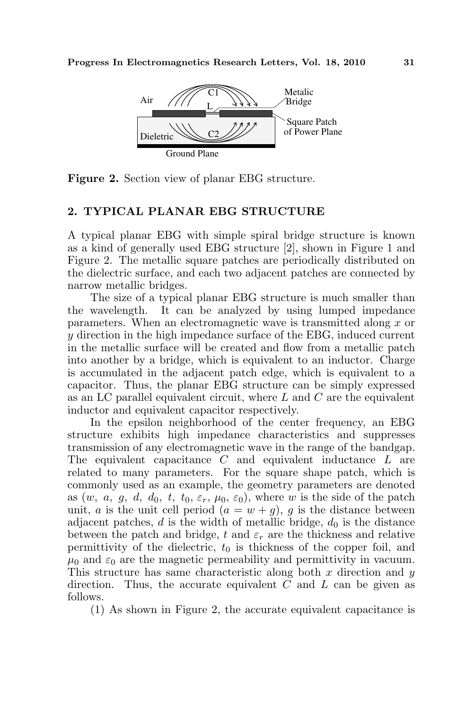

Figure 2. Section view of planar EBG structure.

# 2. TYPICAL PLANAR EBG STRUCTURE

A typical planar EBG with simple spiral bridge structure is known as a kind of generally used EBG structure [2], shown in Figure 1 and Figure 2. The metallic square patches are periodically distributed on the dielectric surface, and each two adjacent patches are connected by narrow metallic bridges.

The size of a typical planar EBG structure is much smaller than the wavelength. It can be analyzed by using lumped impedance parameters. When an electromagnetic wave is transmitted along x or y direction in the high impedance surface of the EBG, induced current in the metallic surface will be created and flow from a metallic patch into another by a bridge, which is equivalent to an inductor. Charge is accumulated in the adjacent patch edge, which is equivalent to a capacitor. Thus, the planar EBG structure can be simply expressed as an LC parallel equivalent circuit, where  $L$  and  $C$  are the equivalent inductor and equivalent capacitor respectively.

In the epsilon neighborhood of the center frequency, an EBG structure exhibits high impedance characteristics and suppresses transmission of any electromagnetic wave in the range of the bandgap. The equivalent capacitance C and equivalent inductance L are related to many parameters. For the square shape patch, which is commonly used as an example, the geometry parameters are denoted as  $(w, a, g, d, d_0, t, t_0, \varepsilon_r, \mu_0, \varepsilon_0)$ , where w is the side of the patch unit, a is the unit cell period  $(a = w + g)$ , g is the distance between adjacent patches, d is the width of metallic bridge,  $d_0$  is the distance between the patch and bridge, t and  $\varepsilon_r$  are the thickness and relative permittivity of the dielectric,  $t_0$  is thickness of the copper foil, and  $\mu_0$  and  $\varepsilon_0$  are the magnetic permeability and permittivity in vacuum. This structure has same characteristic along both  $x$  direction and  $y$ direction. Thus, the accurate equivalent  $C$  and  $L$  can be given as follows.

(1) As shown in Figure 2, the accurate equivalent capacitance is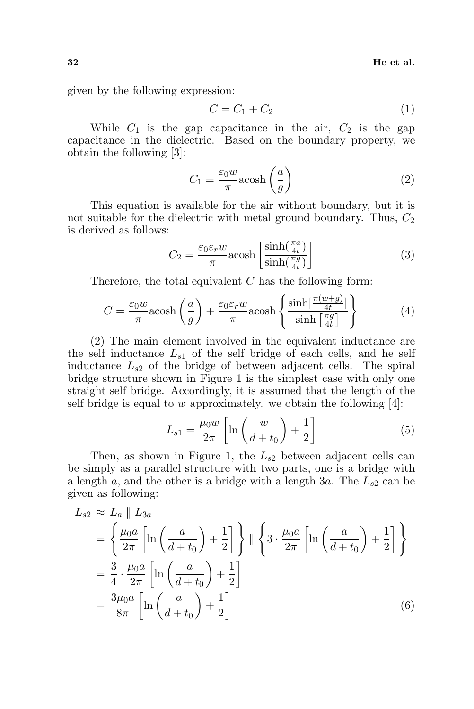given by the following expression:

$$
C = C_1 + C_2 \tag{1}
$$

While  $C_1$  is the gap capacitance in the air,  $C_2$  is the gap capacitance in the dielectric. Based on the boundary property, we obtain the following [3]:

$$
C_1 = \frac{\varepsilon_0 w}{\pi} a \cosh\left(\frac{a}{g}\right) \tag{2}
$$

This equation is available for the air without boundary, but it is not suitable for the dielectric with metal ground boundary. Thus,  $C_2$ is derived as follows:  $\overline{a}$ 

$$
C_2 = \frac{\varepsilon_0 \varepsilon_r w}{\pi} \text{acosh}\left[\frac{\sinh(\frac{\pi a}{4t})}{\sinh(\frac{\pi g}{4t})}\right] \tag{3}
$$

Therefore, the total equivalent  $C$  has the following form:

$$
C = \frac{\varepsilon_0 w}{\pi} \text{acosh}\left(\frac{a}{g}\right) + \frac{\varepsilon_0 \varepsilon_r w}{\pi} \text{acosh}\left\{\frac{\sinh[\frac{\pi(w+g)}{4t}]}{\sinh[\frac{\pi g}{4t}]} \right\} \tag{4}
$$

(2) The main element involved in the equivalent inductance are the self inductance  $L_{s1}$  of the self bridge of each cells, and he self inductance  $L_{s2}$  of the bridge of between adjacent cells. The spiral bridge structure shown in Figure 1 is the simplest case with only one straight self bridge. Accordingly, it is assumed that the length of the self bridge is equal to w approximately. we obtain the following  $[4]$ :

$$
L_{s1} = \frac{\mu_0 w}{2\pi} \left[ \ln \left( \frac{w}{d + t_0} \right) + \frac{1}{2} \right] \tag{5}
$$

Then, as shown in Figure 1, the  $L_{s2}$  between adjacent cells can be simply as a parallel structure with two parts, one is a bridge with a length a, and the other is a bridge with a length  $3a$ . The  $L_{s2}$  can be given as following:

$$
L_{s2} \approx L_a \parallel L_{3a}
$$
  
=  $\left\{ \frac{\mu_0 a}{2\pi} \left[ \ln \left( \frac{a}{d+t_0} \right) + \frac{1}{2} \right] \right\} \parallel \left\{ 3 \cdot \frac{\mu_0 a}{2\pi} \left[ \ln \left( \frac{a}{d+t_0} \right) + \frac{1}{2} \right] \right\}$   
=  $\frac{3}{4} \cdot \frac{\mu_0 a}{2\pi} \left[ \ln \left( \frac{a}{d+t_0} \right) + \frac{1}{2} \right]$   
=  $\frac{3\mu_0 a}{8\pi} \left[ \ln \left( \frac{a}{d+t_0} \right) + \frac{1}{2} \right]$  (6)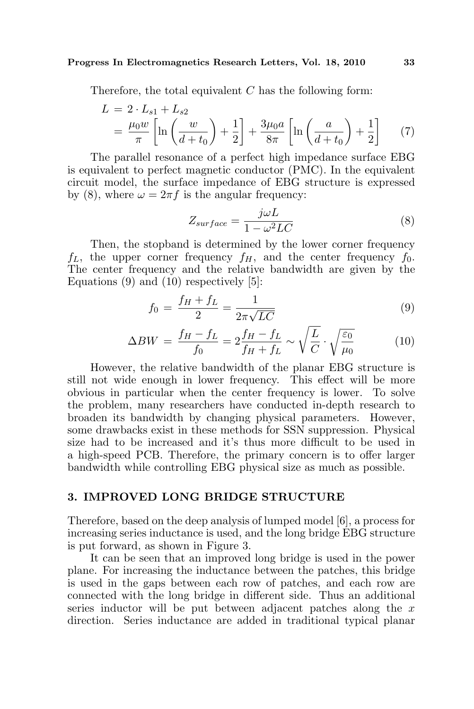#### Progress In Electromagnetics Research Letters, Vol. 18, 2010 33

Therefore, the total equivalent  $C$  has the following form:

$$
L = 2 \cdot L_{s1} + L_{s2}
$$
  
=  $\frac{\mu_0 w}{\pi} \left[ \ln \left( \frac{w}{d + t_0} \right) + \frac{1}{2} \right] + \frac{3\mu_0 a}{8\pi} \left[ \ln \left( \frac{a}{d + t_0} \right) + \frac{1}{2} \right]$  (7)

The parallel resonance of a perfect high impedance surface EBG is equivalent to perfect magnetic conductor (PMC). In the equivalent circuit model, the surface impedance of EBG structure is expressed by (8), where  $\omega = 2\pi f$  is the angular frequency:

$$
Z_{surface} = \frac{j\omega L}{1 - \omega^2 LC} \tag{8}
$$

Then, the stopband is determined by the lower corner frequency  $f_L$ , the upper corner frequency  $f_H$ , and the center frequency  $f_0$ . The center frequency and the relative bandwidth are given by the Equations  $(9)$  and  $(10)$  respectively  $[5]$ :

$$
f_0 = \frac{f_H + f_L}{2} = \frac{1}{2\pi\sqrt{LC}}
$$
 (9)

$$
\Delta BW = \frac{f_H - f_L}{f_0} = 2\frac{f_H - f_L}{f_H + f_L} \sim \sqrt{\frac{L}{C}} \cdot \sqrt{\frac{\varepsilon_0}{\mu_0}}
$$
(10)

However, the relative bandwidth of the planar EBG structure is still not wide enough in lower frequency. This effect will be more obvious in particular when the center frequency is lower. To solve the problem, many researchers have conducted in-depth research to broaden its bandwidth by changing physical parameters. However, some drawbacks exist in these methods for SSN suppression. Physical size had to be increased and it's thus more difficult to be used in a high-speed PCB. Therefore, the primary concern is to offer larger bandwidth while controlling EBG physical size as much as possible.

#### 3. IMPROVED LONG BRIDGE STRUCTURE

Therefore, based on the deep analysis of lumped model [6], a process for increasing series inductance is used, and the long bridge EBG structure is put forward, as shown in Figure 3.

It can be seen that an improved long bridge is used in the power plane. For increasing the inductance between the patches, this bridge is used in the gaps between each row of patches, and each row are connected with the long bridge in different side. Thus an additional series inductor will be put between adjacent patches along the  $x$ direction. Series inductance are added in traditional typical planar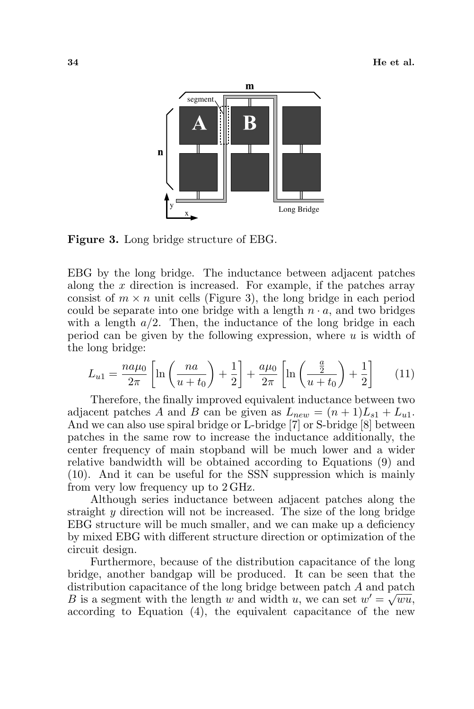

Figure 3. Long bridge structure of EBG.

EBG by the long bridge. The inductance between adjacent patches along the  $x$  direction is increased. For example, if the patches array consist of  $m \times n$  unit cells (Figure 3), the long bridge in each period could be separate into one bridge with a length  $n \cdot a$ , and two bridges with a length  $a/2$ . Then, the inductance of the long bridge in each period can be given by the following expression, where  $u$  is width of the long bridge:

$$
L_{u1} = \frac{n a \mu_0}{2\pi} \left[ \ln \left( \frac{n a}{u + t_0} \right) + \frac{1}{2} \right] + \frac{a \mu_0}{2\pi} \left[ \ln \left( \frac{\frac{a}{2}}{u + t_0} \right) + \frac{1}{2} \right] \tag{11}
$$

Therefore, the finally improved equivalent inductance between two adjacent patches A and B can be given as  $L_{new} = (n+1)L_{s1} + L_{u1}$ . And we can also use spiral bridge or L-bridge [7] or S-bridge [8] between patches in the same row to increase the inductance additionally, the center frequency of main stopband will be much lower and a wider relative bandwidth will be obtained according to Equations (9) and (10). And it can be useful for the SSN suppression which is mainly from very low frequency up to 2 GHz.

Although series inductance between adjacent patches along the straight y direction will not be increased. The size of the long bridge EBG structure will be much smaller, and we can make up a deficiency by mixed EBG with different structure direction or optimization of the circuit design.

Furthermore, because of the distribution capacitance of the long bridge, another bandgap will be produced. It can be seen that the distribution capacitance of the long bridge between patch *A* and patch B is a segment with the length w and width u, we can set  $w' = \sqrt{wu}$ , according to Equation (4), the equivalent capacitance of the new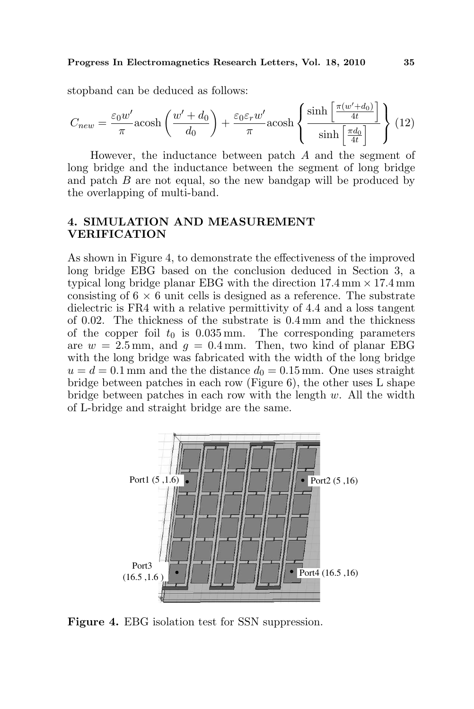stopband can be deduced as follows:

$$
C_{new} = \frac{\varepsilon_0 w'}{\pi} \text{acosh}\left(\frac{w' + d_0}{d_0}\right) + \frac{\varepsilon_0 \varepsilon_r w'}{\pi} \text{acosh}\left\{\frac{\sinh\left[\frac{\pi(w' + d_0)}{4t}\right]}{\sinh\left[\frac{\pi d_0}{4t}\right]}\right\} (12)
$$

However, the inductance between patch A and the segment of long bridge and the inductance between the segment of long bridge and patch B are not equal, so the new bandgap will be produced by the overlapping of multi-band.

## 4. SIMULATION AND MEASUREMENT VERIFICATION

As shown in Figure 4, to demonstrate the effectiveness of the improved long bridge EBG based on the conclusion deduced in Section 3, a typical long bridge planar EBG with the direction  $17.4 \text{ mm} \times 17.4 \text{ mm}$ consisting of  $6 \times 6$  unit cells is designed as a reference. The substrate dielectric is FR4 with a relative permittivity of 4.4 and a loss tangent of 0.02. The thickness of the substrate is 0.4 mm and the thickness of the copper foil  $t_0$  is 0.035 mm. The corresponding parameters are  $w = 2.5$  mm, and  $q = 0.4$  mm. Then, two kind of planar EBG with the long bridge was fabricated with the width of the long bridge  $u = d = 0.1$  mm and the the distance  $d_0 = 0.15$  mm. One uses straight bridge between patches in each row (Figure 6), the other uses L shape bridge between patches in each row with the length  $w$ . All the width of L-bridge and straight bridge are the same.



Figure 4. EBG isolation test for SSN suppression.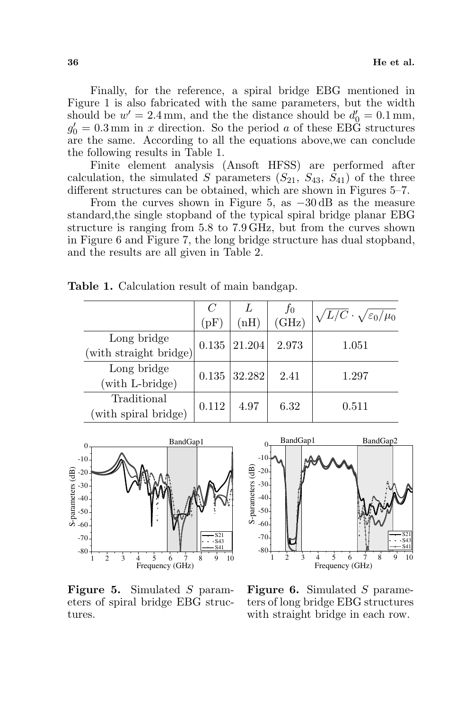Finally, for the reference, a spiral bridge EBG mentioned in Figure 1 is also fabricated with the same parameters, but the width should be  $w' = 2.4 \text{ mm}$ , and the the distance should be  $d'_0 = 0.1 \text{ mm}$ ,  $g'_0 = 0.3$  mm in x direction. So the period a of these EBG structures are the same. According to all the equations above,we can conclude the following results in Table 1.

Finite element analysis (Ansoft HFSS) are performed after calculation, the simulated S parameters  $(S_{21}, S_{43}, S_{41})$  of the three different structures can be obtained, which are shown in Figures 5–7.

From the curves shown in Figure 5, as −30 dB as the measure standard,the single stopband of the typical spiral bridge planar EBG structure is ranging from 5.8 to 7.9 GHz, but from the curves shown in Figure 6 and Figure 7, the long bridge structure has dual stopband, and the results are all given in Table 2.

|                                       | (pF)  | $\mathrm{mH})$ | $J_{0}$<br>(GHz) | $\sqrt{L/C}\cdot\sqrt{\varepsilon_0/\mu_0}$ |
|---------------------------------------|-------|----------------|------------------|---------------------------------------------|
| Long bridge<br>(with straight bridge) | 0.135 | 21.204         | 2.973            | 1.051                                       |
| Long bridge<br>(with L-bridge)        |       | $0.135$ 32.282 | 2.41             | 1.297                                       |
| Traditional<br>with spiral bridge)    | 0.112 | 4.97           | 6.32             | 0.511                                       |

Table 1. Calculation result of main bandgap.



Figure 5. Simulated S parameters of spiral bridge EBG structures.



Figure 6. Simulated S parameters of long bridge EBG structures with straight bridge in each row.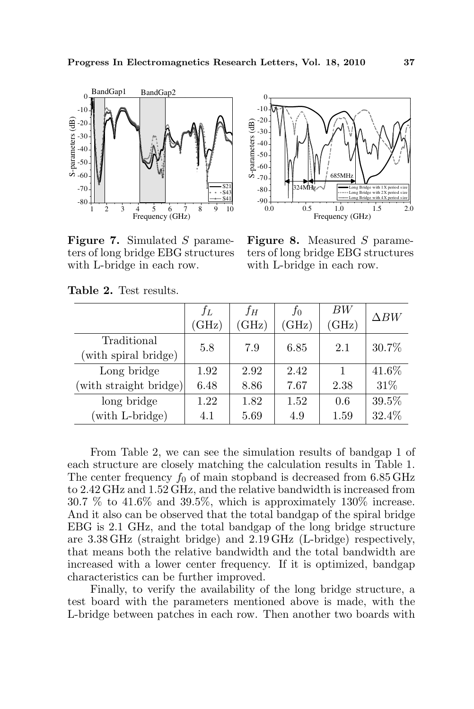

Figure 7. Simulated S parameters of long bridge EBG structures with L-bridge in each row.



Figure 8. Measured S parameters of long bridge EBG structures with L-bridge in each row.

|                                     | $f_L$<br>(GHz) | $f_H$<br>(GHz) | fо<br>(GHz) | BW<br>(GHz) | $\Delta BW$ |
|-------------------------------------|----------------|----------------|-------------|-------------|-------------|
| Traditional<br>(with spiral bridge) | 5.8            | 7.9            | 6.85        | 2.1         | 30.7%       |
| Long bridge                         | 1.92           | 2.92           | 2.42        | 1           | 41.6%       |
| (with straight bridge)              | 6.48           | 8.86           | 7.67        | 2.38        | 31%         |
| long bridge                         | 1.22           | 1.82           | 1.52        | 0.6         | 39.5%       |
| (with L-bridge)                     | 4.1            | 5.69           | 4.9         | 1.59        | 32.4%       |

Table 2. Test results.

From Table 2, we can see the simulation results of bandgap 1 of each structure are closely matching the calculation results in Table 1. The center frequency  $f_0$  of main stopband is decreased from 6.85 GHz to 2.42 GHz and 1.52 GHz, and the relative bandwidth is increased from 30.7 % to 41.6% and 39.5%, which is approximately 130% increase. And it also can be observed that the total bandgap of the spiral bridge EBG is 2.1 GHz, and the total bandgap of the long bridge structure are 3.38 GHz (straight bridge) and 2.19 GHz (L-bridge) respectively, that means both the relative bandwidth and the total bandwidth are increased with a lower center frequency. If it is optimized, bandgap characteristics can be further improved.

Finally, to verify the availability of the long bridge structure, a test board with the parameters mentioned above is made, with the L-bridge between patches in each row. Then another two boards with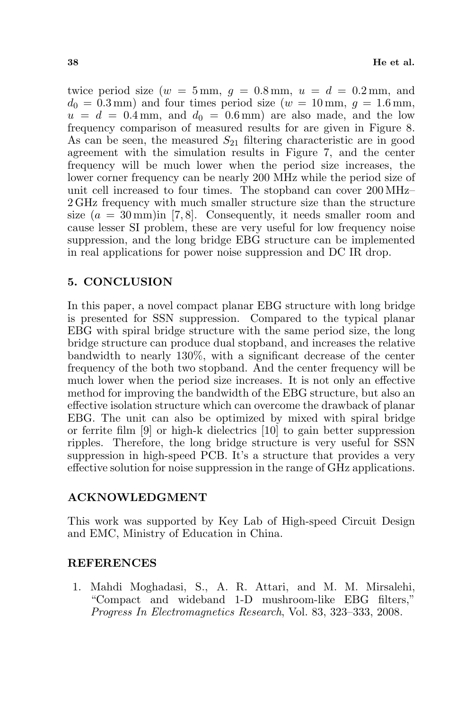twice period size  $(w = 5 \text{ mm}, q = 0.8 \text{ mm}, u = d = 0.2 \text{ mm}, \text{ and}$  $d_0 = 0.3$  mm) and four times period size ( $w = 10$  mm,  $q = 1.6$  mm,  $u = d = 0.4$  mm, and  $d_0 = 0.6$  mm) are also made, and the low frequency comparison of measured results for are given in Figure 8. As can be seen, the measured  $S_{21}$  filtering characteristic are in good agreement with the simulation results in Figure 7, and the center frequency will be much lower when the period size increases, the lower corner frequency can be nearly 200 MHz while the period size of unit cell increased to four times. The stopband can cover 200 MHz– 2 GHz frequency with much smaller structure size than the structure size  $(a = 30 \,\mathrm{mm})$  in [7,8]. Consequently, it needs smaller room and cause lesser SI problem, these are very useful for low frequency noise suppression, and the long bridge EBG structure can be implemented in real applications for power noise suppression and DC IR drop.

## 5. CONCLUSION

In this paper, a novel compact planar EBG structure with long bridge is presented for SSN suppression. Compared to the typical planar EBG with spiral bridge structure with the same period size, the long bridge structure can produce dual stopband, and increases the relative bandwidth to nearly 130%, with a significant decrease of the center frequency of the both two stopband. And the center frequency will be much lower when the period size increases. It is not only an effective method for improving the bandwidth of the EBG structure, but also an effective isolation structure which can overcome the drawback of planar EBG. The unit can also be optimized by mixed with spiral bridge or ferrite film [9] or high-k dielectrics [10] to gain better suppression ripples. Therefore, the long bridge structure is very useful for SSN suppression in high-speed PCB. It's a structure that provides a very effective solution for noise suppression in the range of GHz applications.

## ACKNOWLEDGMENT

This work was supported by Key Lab of High-speed Circuit Design and EMC, Ministry of Education in China.

## REFERENCES

1. Mahdi Moghadasi, S., A. R. Attari, and M. M. Mirsalehi, "Compact and wideband 1-D mushroom-like EBG filters," Progress In Electromagnetics Research, Vol. 83, 323–333, 2008.